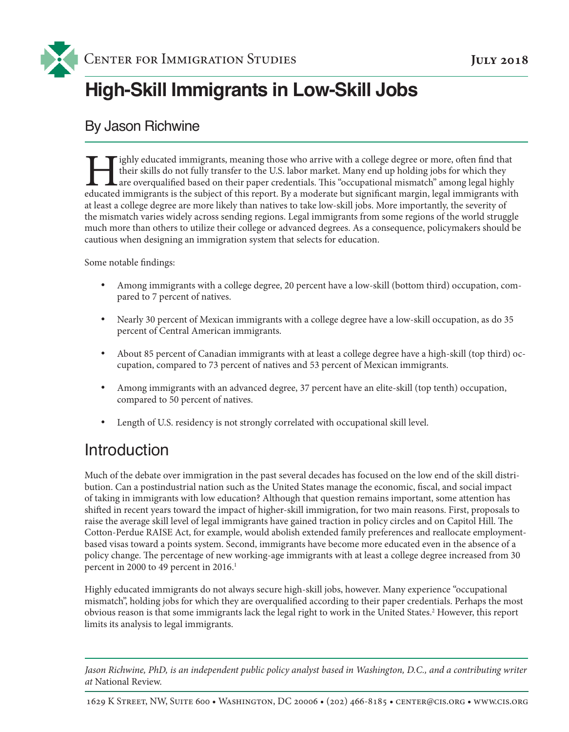

# **High-Skill Immigrants in Low-Skill Jobs**

### By Jason Richwine

ighly educated immigrants, meaning those who arrive with a college degree or more, often find that their skills do not fully transfer to the U.S. labor market. Many end up holding jobs for which they are overqualified based on their paper credentials. This "occupational mismatch" among legal highly educated immigrants is the subject of this report. By a moderate but significant margin, legal immigrants with at least a college degree are more likely than natives to take low-skill jobs. More importantly, the severity of the mismatch varies widely across sending regions. Legal immigrants from some regions of the world struggle much more than others to utilize their college or advanced degrees. As a consequence, policymakers should be cautious when designing an immigration system that selects for education.

Some notable findings:

- • Among immigrants with a college degree, 20 percent have a low-skill (bottom third) occupation, compared to 7 percent of natives.
- Nearly 30 percent of Mexican immigrants with a college degree have a low-skill occupation, as do 35 percent of Central American immigrants.
- About 85 percent of Canadian immigrants with at least a college degree have a high-skill (top third) occupation, compared to 73 percent of natives and 53 percent of Mexican immigrants.
- Among immigrants with an advanced degree, 37 percent have an elite-skill (top tenth) occupation, compared to 50 percent of natives.
- Length of U.S. residency is not strongly correlated with occupational skill level.

### Introduction

Much of the debate over immigration in the past several decades has focused on the low end of the skill distribution. Can a postindustrial nation such as the United States manage the economic, fiscal, and social impact of taking in immigrants with low education? Although that question remains important, some attention has shifted in recent years toward the impact of higher-skill immigration, for two main reasons. First, proposals to raise the average skill level of legal immigrants have gained traction in policy circles and on Capitol Hill. The Cotton-Perdue RAISE Act, for example, would abolish extended family preferences and reallocate employmentbased visas toward a points system. Second, immigrants have become more educated even in the absence of a policy change. The percentage of new working-age immigrants with at least a college degree increased from 30 percent in 2000 to 49 percent in 2016.<sup>1</sup>

Highly educated immigrants do not always secure high-skill jobs, however. Many experience "occupational mismatch", holding jobs for which they are overqualified according to their paper credentials. Perhaps the most obvious reason is that some immigrants lack the legal right to work in the United States.<sup>2</sup> However, this report limits its analysis to legal immigrants.

*Jason Richwine, PhD, is an independent public policy analyst based in Washington, D.C., and a contributing writer at* National Review.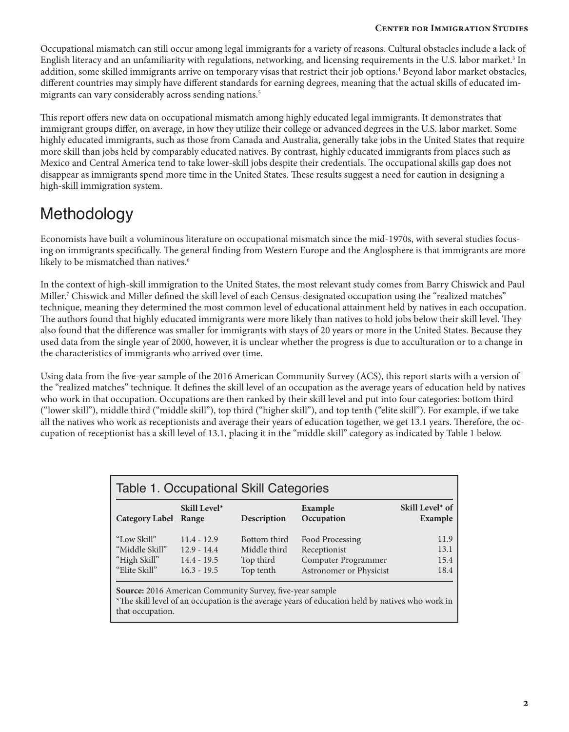#### **Center for Immigration Studies**

Occupational mismatch can still occur among legal immigrants for a variety of reasons. Cultural obstacles include a lack of English literacy and an unfamiliarity with regulations, networking, and licensing requirements in the U.S. labor market.<sup>3</sup> In addition, some skilled immigrants arrive on temporary visas that restrict their job options.<sup>4</sup> Beyond labor market obstacles, different countries may simply have different standards for earning degrees, meaning that the actual skills of educated immigrants can vary considerably across sending nations.<sup>5</sup>

This report offers new data on occupational mismatch among highly educated legal immigrants. It demonstrates that immigrant groups differ, on average, in how they utilize their college or advanced degrees in the U.S. labor market. Some highly educated immigrants, such as those from Canada and Australia, generally take jobs in the United States that require more skill than jobs held by comparably educated natives. By contrast, highly educated immigrants from places such as Mexico and Central America tend to take lower-skill jobs despite their credentials. The occupational skills gap does not disappear as immigrants spend more time in the United States. These results suggest a need for caution in designing a high-skill immigration system.

## Methodology

Economists have built a voluminous literature on occupational mismatch since the mid-1970s, with several studies focusing on immigrants specifically. The general finding from Western Europe and the Anglosphere is that immigrants are more likely to be mismatched than natives.<sup>6</sup>

In the context of high-skill immigration to the United States, the most relevant study comes from Barry Chiswick and Paul Miller.7 Chiswick and Miller defined the skill level of each Census-designated occupation using the "realized matches" technique, meaning they determined the most common level of educational attainment held by natives in each occupation. The authors found that highly educated immigrants were more likely than natives to hold jobs below their skill level. They also found that the difference was smaller for immigrants with stays of 20 years or more in the United States. Because they used data from the single year of 2000, however, it is unclear whether the progress is due to acculturation or to a change in the characteristics of immigrants who arrived over time.

Using data from the five-year sample of the 2016 American Community Survey (ACS), this report starts with a version of the "realized matches" technique. It defines the skill level of an occupation as the average years of education held by natives who work in that occupation. Occupations are then ranked by their skill level and put into four categories: bottom third ("lower skill"), middle third ("middle skill"), top third ("higher skill"), and top tenth ("elite skill"). For example, if we take all the natives who work as receptionists and average their years of education together, we get 13.1 years. Therefore, the occupation of receptionist has a skill level of 13.1, placing it in the "middle skill" category as indicated by Table 1 below.

| <b>Category Label</b> | Skill Level*<br>Range | Description  | Example<br>Occupation   | Skill Level* of<br>Example |
|-----------------------|-----------------------|--------------|-------------------------|----------------------------|
| "Low Skill"           | $11.4 - 12.9$         | Bottom third | Food Processing         | 11.9                       |
| "Middle Skill"        | $12.9 - 14.4$         | Middle third | Receptionist            | 13.1                       |
| "High Skill"          | $14.4 - 19.5$         | Top third    | Computer Programmer     | 15.4                       |
| "Elite Skill"         | $16.3 - 19.5$         | Top tenth    | Astronomer or Physicist | 18.4                       |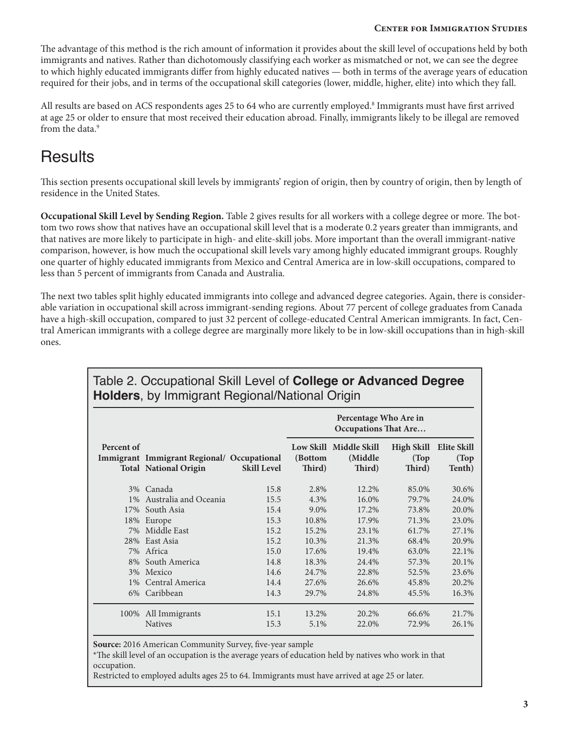The advantage of this method is the rich amount of information it provides about the skill level of occupations held by both immigrants and natives. Rather than dichotomously classifying each worker as mismatched or not, we can see the degree to which highly educated immigrants differ from highly educated natives — both in terms of the average years of education required for their jobs, and in terms of the occupational skill categories (lower, middle, higher, elite) into which they fall.

All results are based on ACS respondents ages 25 to 64 who are currently employed.<sup>8</sup> Immigrants must have first arrived at age 25 or older to ensure that most received their education abroad. Finally, immigrants likely to be illegal are removed from the data.<sup>9</sup>

### **Results**

This section presents occupational skill levels by immigrants' region of origin, then by country of origin, then by length of residence in the United States.

**Occupational Skill Level by Sending Region.** Table 2 gives results for all workers with a college degree or more. The bottom two rows show that natives have an occupational skill level that is a moderate 0.2 years greater than immigrants, and that natives are more likely to participate in high- and elite-skill jobs. More important than the overall immigrant-native comparison, however, is how much the occupational skill levels vary among highly educated immigrant groups. Roughly one quarter of highly educated immigrants from Mexico and Central America are in low-skill occupations, compared to less than 5 percent of immigrants from Canada and Australia.

The next two tables split highly educated immigrants into college and advanced degree categories. Again, there is considerable variation in occupational skill across immigrant-sending regions. About 77 percent of college graduates from Canada have a high-skill occupation, compared to just 32 percent of college-educated Central American immigrants. In fact, Central American immigrants with a college degree are marginally more likely to be in low-skill occupations than in high-skill ones.

|            |                                                                            |                    | Percentage Who Are in<br><b>Occupations That Are</b> |                                              |                                      |                                       |  |
|------------|----------------------------------------------------------------------------|--------------------|------------------------------------------------------|----------------------------------------------|--------------------------------------|---------------------------------------|--|
| Percent of | Immigrant Immigrant Regional/ Occupational<br><b>Total National Origin</b> | <b>Skill Level</b> | (Bottom<br>Third)                                    | Low Skill Middle Skill<br>(Middle)<br>Third) | <b>High Skill</b><br>(Top)<br>Third) | <b>Elite Skill</b><br>(Top)<br>Tenth) |  |
|            | 3% Canada                                                                  | 15.8               | 2.8%                                                 | 12.2%                                        | 85.0%                                | 30.6%                                 |  |
| $1\%$      | Australia and Oceania                                                      | 15.5               | 4.3%                                                 | 16.0%                                        | 79.7%                                | 24.0%                                 |  |
|            | 17% South Asia                                                             | 15.4               | 9.0%                                                 | 17.2%                                        | 73.8%                                | 20.0%                                 |  |
| 18%        | Europe                                                                     | 15.3               | 10.8%                                                | 17.9%                                        | 71.3%                                | 23.0%                                 |  |
|            | 7% Middle East                                                             | 15.2               | 15.2%                                                | 23.1%                                        | 61.7%                                | 27.1%                                 |  |
|            | 28% East Asia                                                              | 15.2               | 10.3%                                                | 21.3%                                        | 68.4%                                | 20.9%                                 |  |
|            | 7% Africa                                                                  | 15.0               | 17.6%                                                | 19.4%                                        | 63.0%                                | 22.1%                                 |  |
|            | 8% South America                                                           | 14.8               | 18.3%                                                | 24.4%                                        | 57.3%                                | 20.1%                                 |  |
|            | 3% Mexico                                                                  | 14.6               | 24.7%                                                | 22.8%                                        | 52.5%                                | 23.6%                                 |  |
| $1\%$      | Central America                                                            | 14.4               | 27.6%                                                | 26.6%                                        | 45.8%                                | 20.2%                                 |  |
|            | 6% Caribbean                                                               | 14.3               | 29.7%                                                | 24.8%                                        | 45.5%                                | 16.3%                                 |  |
|            | 100% All Immigrants                                                        | 15.1               | 13.2%                                                | 20.2%                                        | 66.6%                                | 21.7%                                 |  |
|            | <b>Natives</b>                                                             | 15.3               | 5.1%                                                 | 22.0%                                        | 72.9%                                | 26.1%                                 |  |

#### Table 2. Occupational Skill Level of **College or Advanced Degree Holders**, by Immigrant Regional/National Origin

**Source:** 2016 American Community Survey, five-year sample

\*The skill level of an occupation is the average years of education held by natives who work in that occupation.

Restricted to employed adults ages 25 to 64. Immigrants must have arrived at age 25 or later.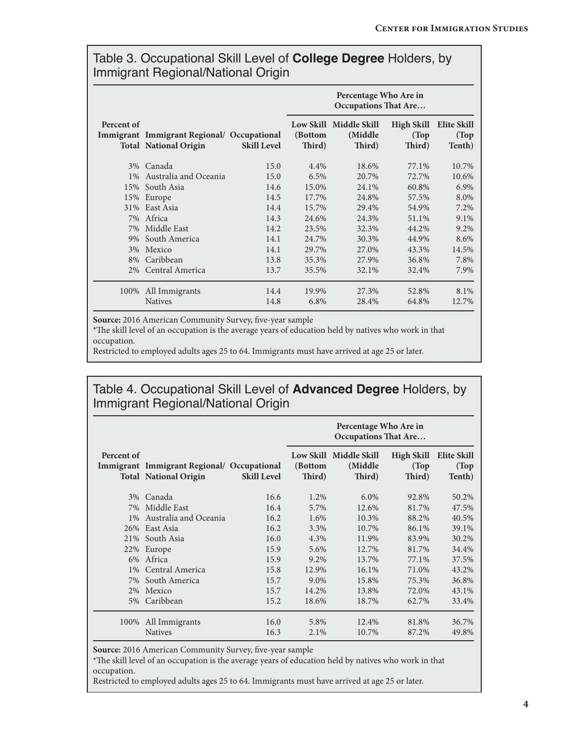#### Table 3. Occupational Skill Level of **College Degree** Holders, by Immigrant Regional/National Origin

|            |                                                                            |                    | Percentage Who Are in<br><b>Occupations That Are</b> |                                              |                                      |                                       |
|------------|----------------------------------------------------------------------------|--------------------|------------------------------------------------------|----------------------------------------------|--------------------------------------|---------------------------------------|
| Percent of | Immigrant Immigrant Regional/ Occupational<br><b>Total National Origin</b> | <b>Skill Level</b> | (Bottom<br>Third)                                    | Low Skill Middle Skill<br>(Middle)<br>Third) | <b>High Skill</b><br>(Top)<br>Third) | <b>Elite Skill</b><br>(Top)<br>Tenth) |
| $3\%$      | Canada                                                                     | 15.0               | 4.4%                                                 | 18.6%                                        | 77.1%                                | 10.7%                                 |
| $1\%$      | Australia and Oceania                                                      | 15.0               | 6.5%                                                 | 20.7%                                        | 72.7%                                | 10.6%                                 |
|            | 15% South Asia                                                             | 14.6               | 15.0%                                                | 24.1%                                        | 60.8%                                | 6.9%                                  |
| 15%        | Europe                                                                     | 14.5               | 17.7%                                                | 24.8%                                        | 57.5%                                | 8.0%                                  |
|            | 31% East Asia                                                              | 14.4               | 15.7%                                                | 29.4%                                        | 54.9%                                | 7.2%                                  |
|            | 7% Africa                                                                  | 14.3               | 24.6%                                                | 24.3%                                        | 51.1%                                | 9.1%                                  |
| 7%         | Middle East                                                                | 14.2               | 23.5%                                                | 32.3%                                        | 44.2%                                | 9.2%                                  |
| 9%         | South America                                                              | 14.1               | 24.7%                                                | 30.3%                                        | 44.9%                                | 8.6%                                  |
|            | 3% Mexico                                                                  | 14.1               | 29.7%                                                | 27.0%                                        | 43.3%                                | 14.5%                                 |
| 8%         | Caribbean                                                                  | 13.8               | 35.3%                                                | 27.9%                                        | 36.8%                                | 7.8%                                  |
|            | 2% Central America                                                         | 13.7               | 35.5%                                                | 32.1%                                        | 32.4%                                | 7.9%                                  |
| 100%       | All Immigrants                                                             | 14.4               | 19.9%                                                | 27.3%                                        | 52.8%                                | 8.1%                                  |
|            | <b>Natives</b>                                                             | 14.8               | 6.8%                                                 | 28.4%                                        | 64.8%                                | 12.7%                                 |

**Source:** 2016 American Community Survey, five-year sample

\*The skill level of an occupation is the average years of education held by natives who work in that occupation.

Restricted to employed adults ages 25 to 64. Immigrants must have arrived at age 25 or later.

#### Table 4. Occupational Skill Level of **Advanced Degree** Holders, by Immigrant Regional/National Origin

|            |                                                                            |                    | Percentage Who Are in<br><b>Occupations That Are</b> |                                              |                                      |                                       |
|------------|----------------------------------------------------------------------------|--------------------|------------------------------------------------------|----------------------------------------------|--------------------------------------|---------------------------------------|
| Percent of | Immigrant Immigrant Regional/ Occupational<br><b>Total National Origin</b> | <b>Skill Level</b> | (Bottom<br>Third)                                    | Low Skill Middle Skill<br>(Middle)<br>Third) | <b>High Skill</b><br>(Top)<br>Third) | <b>Elite Skill</b><br>(Top)<br>Tenth) |
| $3\%$      | Canada                                                                     | 16.6               | 1.2%                                                 | $6.0\%$                                      | 92.8%                                | 50.2%                                 |
| 7%         | Middle East                                                                | 16.4               | 5.7%                                                 | 12.6%                                        | 81.7%                                | 47.5%                                 |
| $1\%$      | Australia and Oceania                                                      | 16.2               | 1.6%                                                 | 10.3%                                        | 88.2%                                | 40.5%                                 |
|            | 26% East Asia                                                              | 16.2               | 3.3%                                                 | 10.7%                                        | 86.1%                                | 39.1%                                 |
| 21%        | South Asia                                                                 | 16.0               | 4.3%                                                 | 11.9%                                        | 83.9%                                | 30.2%                                 |
| 22%        | Europe                                                                     | 15.9               | 5.6%                                                 | 12.7%                                        | 81.7%                                | 34.4%                                 |
|            | 6% Africa                                                                  | 15.9               | 9.2%                                                 | 13.7%                                        | 77.1%                                | 37.5%                                 |
| $1\%$      | Central America                                                            | 15.8               | 12.9%                                                | $16.1\%$                                     | 71.0%                                | 43.2%                                 |
| 7%         | South America                                                              | 15.7               | 9.0%                                                 | 15.8%                                        | 75.3%                                | 36.8%                                 |
|            | 2% Mexico                                                                  | 15.7               | 14.2%                                                | 13.8%                                        | 72.0%                                | 43.1%                                 |
| 5%         | Caribbean                                                                  | 15.2               | 18.6%                                                | 18.7%                                        | 62.7%                                | 33.4%                                 |
| 100%       | All Immigrants                                                             | 16.0               | 5.8%                                                 | 12.4%                                        | 81.8%                                | 36.7%                                 |
|            | <b>Natives</b>                                                             | 16.3               | 2.1%                                                 | 10.7%                                        | 87.2%                                | 49.8%                                 |

**Source:** 2016 American Community Survey, five-year sample

\*The skill level of an occupation is the average years of education held by natives who work in that occupation.

Restricted to employed adults ages 25 to 64. Immigrants must have arrived at age 25 or later.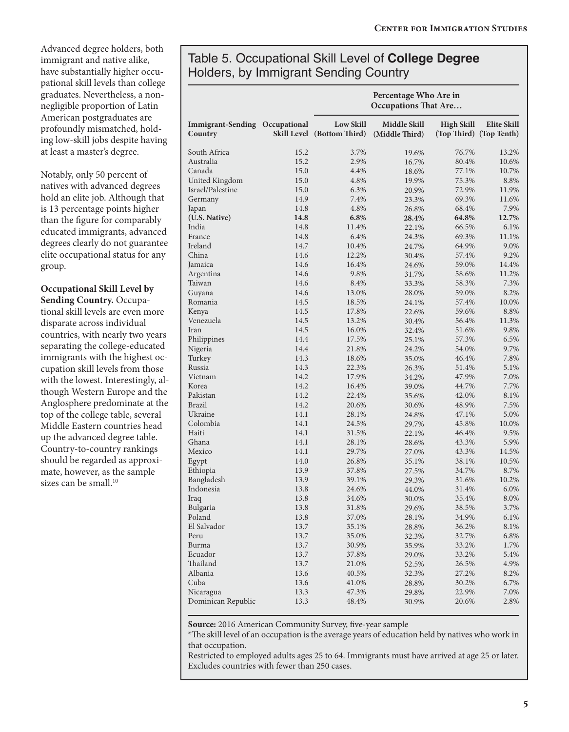Advanced degree holders, both immigrant and native alike, have substantially higher occupational skill levels than college graduates. Nevertheless, a nonnegligible proportion of Latin American postgraduates are profoundly mismatched, holding low-skill jobs despite having at least a master's degree.

Notably, only 50 percent of natives with advanced degrees hold an elite job. Although that is 13 percentage points higher than the figure for comparably educated immigrants, advanced degrees clearly do not guarantee elite occupational status for any group.

#### **Occupational Skill Level by**

**Sending Country.** Occupational skill levels are even more disparate across individual countries, with nearly two years separating the college-educated immigrants with the highest occupation skill levels from those with the lowest. Interestingly, although Western Europe and the Anglosphere predominate at the top of the college table, several Middle Eastern countries head up the advanced degree table. Country-to-country rankings should be regarded as approximate, however, as the sample sizes can be small.<sup>10</sup>

### Table 5. Occupational Skill Level of **College Degree** Holders, by Immigrant Sending Country

|                                     |              |                                                | Percentage Who Are in<br><b>Occupations That Are</b> |                   |                                        |
|-------------------------------------|--------------|------------------------------------------------|------------------------------------------------------|-------------------|----------------------------------------|
| <b>Immigrant-Sending</b><br>Country | Occupational | <b>Low Skill</b><br>Skill Level (Bottom Third) | Middle Skill<br>(Middle Third)                       | <b>High Skill</b> | Elite Skill<br>(Top Third) (Top Tenth) |
| South Africa                        | 15.2         | 3.7%                                           | 19.6%                                                | 76.7%             | 13.2%                                  |
| Australia                           | 15.2         | 2.9%                                           | 16.7%                                                | 80.4%             | 10.6%                                  |
| Canada                              | 15.0         | 4.4%                                           | 18.6%                                                | 77.1%             | 10.7%                                  |
| United Kingdom                      | 15.0         | 4.8%                                           | 19.9%                                                | 75.3%             | 8.8%                                   |
| Israel/Palestine                    | 15.0         | 6.3%                                           | 20.9%                                                | 72.9%             | 11.9%                                  |
| Germany                             | 14.9         | 7.4%                                           | 23.3%                                                | 69.3%             | 11.6%                                  |
| Japan                               | 14.8         | 4.8%                                           | 26.8%                                                | 68.4%             | 7.9%                                   |
| (U.S. Native)                       | 14.8         | 6.8%                                           | 28.4%                                                | 64.8%             | 12.7%                                  |
| India                               | 14.8         | 11.4%                                          | 22.1%                                                | 66.5%             | 6.1%                                   |
| France                              | 14.8         | 6.4%                                           | 24.3%                                                | 69.3%             | 11.1%                                  |
| Ireland                             | 14.7         | 10.4%                                          | 24.7%                                                | 64.9%             | 9.0%                                   |
| China                               | 14.6         | 12.2%                                          | 30.4%                                                | 57.4%             | 9.2%                                   |
| Jamaica                             | 14.6         | 16.4%                                          | 24.6%                                                | 59.0%             | 14.4%                                  |
| Argentina                           | 14.6         | 9.8%                                           | 31.7%                                                | 58.6%             | 11.2%                                  |
| Taiwan                              | 14.6         | 8.4%                                           | 33.3%                                                | 58.3%             | 7.3%                                   |
| Guyana                              | 14.6         | 13.0%                                          | 28.0%                                                | 59.0%             | 8.2%                                   |
| Romania                             | 14.5         | 18.5%                                          | 24.1%                                                | 57.4%             | 10.0%                                  |
| Kenya                               | 14.5         | 17.8%                                          | 22.6%                                                | 59.6%             | 8.8%                                   |
| Venezuela                           | 14.5         | 13.2%                                          | 30.4%                                                | 56.4%             | 11.3%                                  |
| Iran                                | 14.5         | 16.0%                                          | 32.4%                                                | 51.6%             | 9.8%                                   |
| Philippines                         | 14.4         | 17.5%                                          | 25.1%                                                | 57.3%             | 6.5%                                   |
| Nigeria                             | 14.4         | 21.8%                                          | 24.2%                                                | 54.0%             | 9.7%                                   |
| Turkey                              | 14.3         | 18.6%                                          | 35.0%                                                | 46.4%             | 7.8%                                   |
| Russia                              | 14.3         | 22.3%                                          | 26.3%                                                | 51.4%             | 5.1%                                   |
| Vietnam                             | 14.2         | 17.9%                                          | 34.2%                                                | 47.9%             | 7.0%                                   |
| Korea                               | 14.2         | 16.4%                                          | 39.0%                                                | 44.7%             | 7.7%                                   |
| Pakistan                            | 14.2         | 22.4%                                          | 35.6%                                                | 42.0%             | 8.1%                                   |
| Brazil                              | 14.2         | 20.6%                                          | 30.6%                                                | 48.9%             | 7.5%                                   |
| Ukraine                             | 14.1         | 28.1%                                          | 24.8%                                                | 47.1%             | 5.0%                                   |
| Colombia                            | 14.1         | 24.5%                                          | 29.7%                                                | 45.8%             | 10.0%                                  |
| Haiti                               | 14.1         | 31.5%                                          | 22.1%                                                | 46.4%             | 9.5%                                   |
| Ghana                               | 14.1         | 28.1%                                          | 28.6%                                                | 43.3%             | 5.9%                                   |
| Mexico                              | 14.1         | 29.7%                                          | 27.0%                                                | 43.3%             | 14.5%                                  |
| Egypt                               | 14.0         | 26.8%                                          | 35.1%                                                | 38.1%             | 10.5%                                  |
| Ethiopia                            | 13.9         | 37.8%                                          | 27.5%                                                | 34.7%             | 8.7%                                   |
| Bangladesh                          | 13.9         | 39.1%                                          | 29.3%                                                | 31.6%             | 10.2%                                  |
| Indonesia                           | 13.8         | 24.6%                                          | 44.0%                                                | 31.4%             | $6.0\%$                                |
| Iraq                                | 13.8         | 34.6%                                          | 30.0%                                                | 35.4%             | 8.0%                                   |
| Bulgaria                            | 13.8         | 31.8%                                          | 29.6%                                                | 38.5%             | 3.7%                                   |
| Poland                              | 13.8         | 37.0%                                          | 28.1%                                                | 34.9%             | 6.1%                                   |
| El Salvador                         | 13.7         | 35.1%                                          | 28.8%                                                | 36.2%             | 8.1%                                   |
| Peru                                | 13.7         | 35.0%                                          | 32.3%                                                | 32.7%             | 6.8%                                   |
| Burma                               | 13.7         | 30.9%                                          | 35.9%                                                | 33.2%             | 1.7%                                   |
| Ecuador                             | 13.7         | 37.8%                                          | 29.0%                                                | 33.2%             | 5.4%                                   |
| Thailand                            | 13.7         | 21.0%                                          | 52.5%                                                | 26.5%             | 4.9%                                   |
| Albania                             | 13.6         | 40.5%                                          | 32.3%                                                | 27.2%             | 8.2%                                   |
| Cuba                                | 13.6         | 41.0%                                          | 28.8%                                                | 30.2%             | 6.7%                                   |
| Nicaragua                           | 13.3         | 47.3%                                          | 29.8%                                                | 22.9%             | 7.0%                                   |
| Dominican Republic                  | 13.3         | 48.4%                                          | 30.9%                                                | 20.6%             | 2.8%                                   |

**Source:** 2016 American Community Survey, five-year sample

\*The skill level of an occupation is the average years of education held by natives who work in that occupation.

Restricted to employed adults ages 25 to 64. Immigrants must have arrived at age 25 or later. Excludes countries with fewer than 250 cases.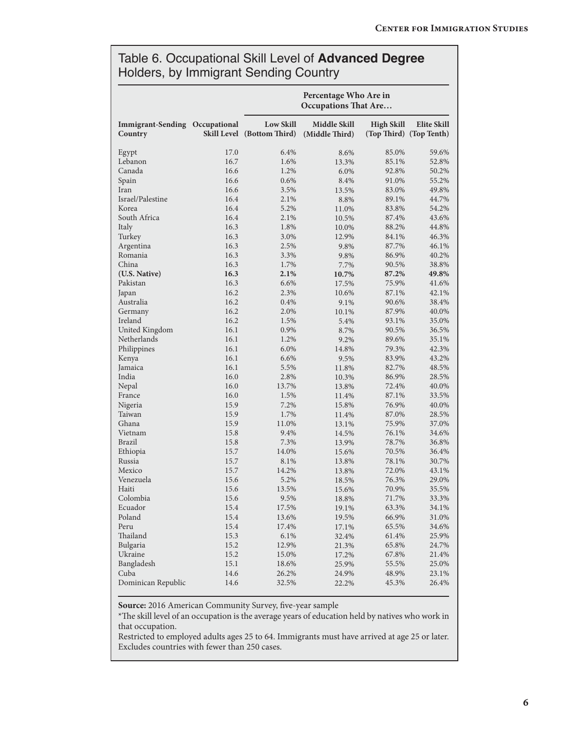#### Table 6. Occupational Skill Level of **Advanced Degree** Holders, by Immigrant Sending Country

|                                     | Percentage Who Are in<br><b>Occupations That Are</b> |                                                |                                |                   |                                        |  |
|-------------------------------------|------------------------------------------------------|------------------------------------------------|--------------------------------|-------------------|----------------------------------------|--|
| <b>Immigrant-Sending</b><br>Country | Occupational                                         | <b>Low Skill</b><br>Skill Level (Bottom Third) | Middle Skill<br>(Middle Third) | <b>High Skill</b> | Elite Skill<br>(Top Third) (Top Tenth) |  |
| Egypt                               | 17.0                                                 | 6.4%                                           | 8.6%                           | 85.0%             | 59.6%                                  |  |
| Lebanon                             | 16.7                                                 | 1.6%                                           | 13.3%                          | 85.1%             | 52.8%                                  |  |
| Canada                              | 16.6                                                 | 1.2%                                           | 6.0%                           | 92.8%             | 50.2%                                  |  |
| Spain                               | 16.6                                                 | 0.6%                                           | 8.4%                           | 91.0%             | 55.2%                                  |  |
| Iran                                | 16.6                                                 | 3.5%                                           | 13.5%                          | 83.0%             | 49.8%                                  |  |
| Israel/Palestine                    | 16.4                                                 | 2.1%                                           | 8.8%                           | 89.1%             | 44.7%                                  |  |
| Korea                               | 16.4                                                 | 5.2%                                           | 11.0%                          | 83.8%             | 54.2%                                  |  |
| South Africa                        | 16.4                                                 | 2.1%                                           | 10.5%                          | 87.4%             | 43.6%                                  |  |
| Italy                               | 16.3                                                 | 1.8%                                           | 10.0%                          | 88.2%             | 44.8%                                  |  |
| Turkey                              | 16.3                                                 | 3.0%                                           | 12.9%                          | 84.1%             | 46.3%                                  |  |
| Argentina                           | 16.3                                                 | 2.5%                                           | 9.8%                           | 87.7%             | 46.1%                                  |  |
| Romania                             | 16.3                                                 | 3.3%                                           | 9.8%                           | 86.9%             | 40.2%                                  |  |
| China                               | 16.3                                                 | 1.7%                                           | 7.7%                           | 90.5%             | 38.8%                                  |  |
| (U.S. Native)                       | 16.3                                                 | 2.1%                                           | 10.7%                          | 87.2%             | 49.8%                                  |  |
| Pakistan                            | 16.3                                                 | 6.6%                                           | 17.5%                          | 75.9%             | 41.6%                                  |  |
| Japan                               | 16.2                                                 | 2.3%                                           | 10.6%                          | 87.1%             | 42.1%                                  |  |
| Australia                           | 16.2                                                 | 0.4%                                           | 9.1%                           | 90.6%             | 38.4%                                  |  |
| Germany                             | 16.2                                                 | 2.0%                                           | 10.1%                          | 87.9%             | 40.0%                                  |  |
| Ireland                             | 16.2                                                 | 1.5%                                           | 5.4%                           | 93.1%             | 35.0%                                  |  |
| United Kingdom                      | 16.1                                                 | 0.9%                                           | 8.7%                           | 90.5%             | 36.5%                                  |  |
| Netherlands                         | 16.1                                                 | 1.2%                                           | 9.2%                           | 89.6%             | 35.1%                                  |  |
| Philippines                         | 16.1                                                 | 6.0%                                           | 14.8%                          | 79.3%             | 42.3%                                  |  |
| Kenya                               | 16.1                                                 | 6.6%                                           | 9.5%                           | 83.9%             | 43.2%                                  |  |
| Jamaica                             | 16.1                                                 | 5.5%                                           | 11.8%                          | 82.7%             | 48.5%                                  |  |
| India                               | 16.0                                                 | 2.8%                                           | 10.3%                          | 86.9%             | 28.5%                                  |  |
| Nepal                               | 16.0                                                 | 13.7%                                          | 13.8%                          | 72.4%             | 40.0%                                  |  |
| France                              | 16.0                                                 | 1.5%                                           | 11.4%                          | 87.1%             | 33.5%                                  |  |
| Nigeria                             | 15.9                                                 | 7.2%                                           | 15.8%                          | 76.9%             | 40.0%                                  |  |
| Taiwan                              | 15.9                                                 | 1.7%                                           | 11.4%                          | 87.0%             | 28.5%                                  |  |
| Ghana                               | 15.9                                                 | 11.0%                                          | 13.1%                          | 75.9%             | 37.0%                                  |  |
| Vietnam                             | 15.8                                                 | 9.4%                                           | 14.5%                          | 76.1%             | 34.6%                                  |  |
| Brazil                              | 15.8                                                 | 7.3%                                           | 13.9%                          | 78.7%             | 36.8%                                  |  |
| Ethiopia                            | 15.7                                                 | 14.0%                                          | 15.6%                          | 70.5%             | 36.4%                                  |  |
| Russia                              | 15.7                                                 | 8.1%                                           | 13.8%                          | 78.1%             | 30.7%                                  |  |
| Mexico                              | 15.7                                                 | 14.2%                                          | 13.8%                          | 72.0%             | 43.1%                                  |  |
| Venezuela                           | 15.6                                                 | 5.2%                                           | 18.5%                          | 76.3%             | 29.0%                                  |  |
| Haiti                               | $15.6\,$                                             | 13.5%                                          | $15.6\%$                       | 70.9%             | 35.5%                                  |  |
| Colombia                            | 15.6                                                 | 9.5%                                           | 18.8%                          | 71.7%             | 33.3%                                  |  |
| Ecuador                             | 15.4                                                 | 17.5%                                          | 19.1%                          | 63.3%             | 34.1%                                  |  |
| Poland                              | 15.4                                                 | 13.6%                                          | 19.5%                          | 66.9%             | 31.0%                                  |  |
| Peru                                | 15.4                                                 | 17.4%                                          | 17.1%                          | 65.5%             | 34.6%                                  |  |
| Thailand                            | 15.3                                                 | 6.1%                                           | 32.4%                          | $61.4\%$          | 25.9%                                  |  |
| Bulgaria                            | 15.2                                                 | 12.9%                                          | 21.3%                          | 65.8%             | 24.7%                                  |  |
| Ukraine                             | 15.2                                                 | 15.0%                                          | 17.2%                          | 67.8%             | 21.4%                                  |  |
| Bangladesh                          | 15.1                                                 | 18.6%                                          | 25.9%                          | 55.5%             | 25.0%                                  |  |
| Cuba                                | 14.6                                                 | 26.2%                                          | 24.9%                          | 48.9%             | 23.1%                                  |  |
| Dominican Republic                  | 14.6                                                 | 32.5%                                          | 22.2%                          | 45.3%             | 26.4%                                  |  |

**Source:** 2016 American Community Survey, five-year sample

\*The skill level of an occupation is the average years of education held by natives who work in that occupation.

Restricted to employed adults ages 25 to 64. Immigrants must have arrived at age 25 or later. Excludes countries with fewer than 250 cases.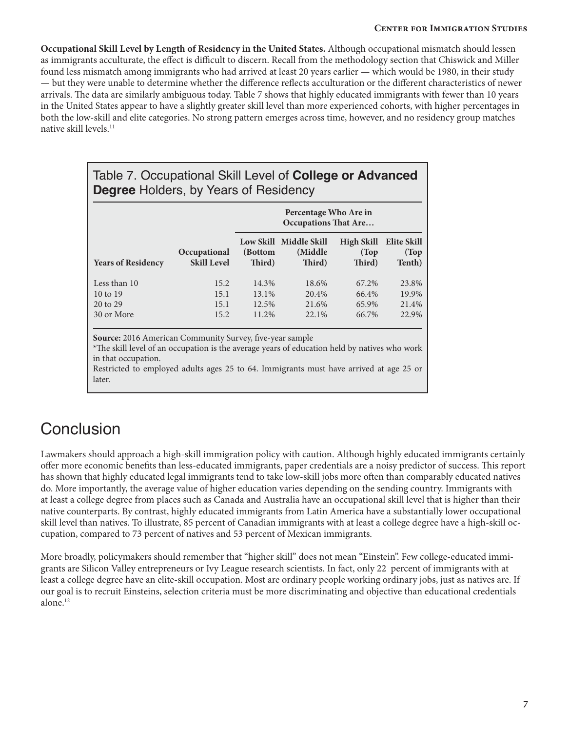**Occupational Skill Level by Length of Residency in the United States.** Although occupational mismatch should lessen as immigrants acculturate, the effect is difficult to discern. Recall from the methodology section that Chiswick and Miller found less mismatch among immigrants who had arrived at least 20 years earlier — which would be 1980, in their study — but they were unable to determine whether the difference reflects acculturation or the different characteristics of newer arrivals. The data are similarly ambiguous today. Table 7 shows that highly educated immigrants with fewer than 10 years in the United States appear to have a slightly greater skill level than more experienced cohorts, with higher percentages in both the low-skill and elite categories. No strong pattern emerges across time, however, and no residency group matches native skill levels.<sup>11</sup>

#### Table 7. Occupational Skill Level of **College or Advanced Degree** Holders, by Years of Residency

|                                                               |                                    | Percentage Who Are in<br><b>Occupations That Are</b> |                                              |                                  |                                  |  |
|---------------------------------------------------------------|------------------------------------|------------------------------------------------------|----------------------------------------------|----------------------------------|----------------------------------|--|
| <b>Years of Residency</b>                                     | Occupational<br><b>Skill Level</b> | (Bottom<br>Third)                                    | Low Skill Middle Skill<br>(Middle)<br>Third) | High Skill<br>(Top)<br>Third)    | Elite Skill<br>(Top)<br>Tenth)   |  |
| Less than 10<br>$10 \text{ to } 19$<br>20 to 29<br>30 or More | 15.2<br>15.1<br>15.1<br>15.2       | 14.3%<br>13.1%<br>12.5%<br>11.2%                     | 18.6%<br>20.4%<br>21.6%<br>22.1%             | 67.2%<br>66.4%<br>65.9%<br>66.7% | 23.8%<br>19.9%<br>21.4%<br>22.9% |  |

**Source:** 2016 American Community Survey, five-year sample

\*The skill level of an occupation is the average years of education held by natives who work in that occupation.

Restricted to employed adults ages 25 to 64. Immigrants must have arrived at age 25 or later.

## **Conclusion**

Lawmakers should approach a high-skill immigration policy with caution. Although highly educated immigrants certainly offer more economic benefits than less-educated immigrants, paper credentials are a noisy predictor of success. This report has shown that highly educated legal immigrants tend to take low-skill jobs more often than comparably educated natives do. More importantly, the average value of higher education varies depending on the sending country. Immigrants with at least a college degree from places such as Canada and Australia have an occupational skill level that is higher than their native counterparts. By contrast, highly educated immigrants from Latin America have a substantially lower occupational skill level than natives. To illustrate, 85 percent of Canadian immigrants with at least a college degree have a high-skill occupation, compared to 73 percent of natives and 53 percent of Mexican immigrants.

More broadly, policymakers should remember that "higher skill" does not mean "Einstein". Few college-educated immigrants are Silicon Valley entrepreneurs or Ivy League research scientists. In fact, only 22 percent of immigrants with at least a college degree have an elite-skill occupation. Most are ordinary people working ordinary jobs, just as natives are. If our goal is to recruit Einsteins, selection criteria must be more discriminating and objective than educational credentials alone.<sup>12</sup>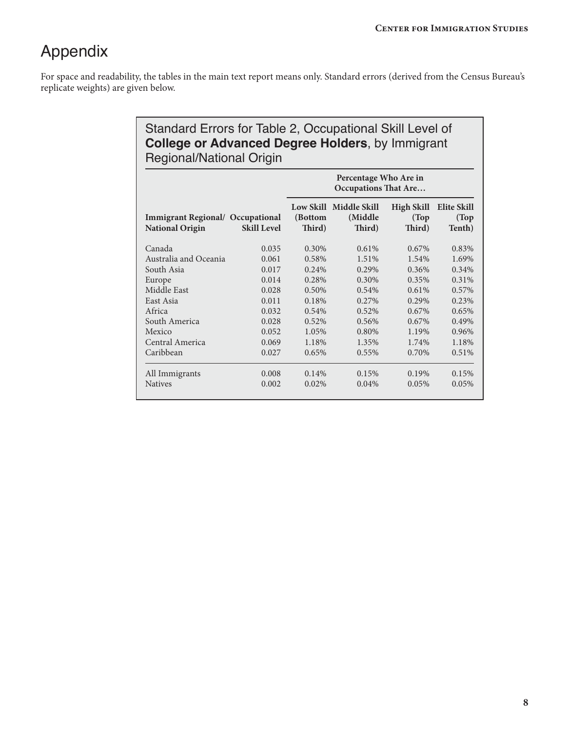## Appendix

For space and readability, the tables in the main text report means only. Standard errors (derived from the Census Bureau's replicate weights) are given below.

#### Standard Errors for Table 2, Occupational Skill Level of **College or Advanced Degree Holders**, by Immigrant Regional/National Origin

|                                                                   |                    | Percentage Who Are in<br><b>Occupations That Are</b> |                                             |                                      |                                       |  |
|-------------------------------------------------------------------|--------------------|------------------------------------------------------|---------------------------------------------|--------------------------------------|---------------------------------------|--|
| <b>Immigrant Regional/ Occupational</b><br><b>National Origin</b> | <b>Skill Level</b> | (Bottom<br>Third)                                    | Low Skill Middle Skill<br>(Middle<br>Third) | <b>High Skill</b><br>(Top)<br>Third) | <b>Elite Skill</b><br>(Top)<br>Tenth) |  |
| Canada                                                            | 0.035              | 0.30%                                                | 0.61%                                       | $0.67\%$                             | 0.83%                                 |  |
| Australia and Oceania                                             | 0.061              | 0.58%                                                | 1.51%                                       | 1.54%                                | 1.69%                                 |  |
| South Asia                                                        | 0.017              | 0.24%                                                | 0.29%                                       | $0.36\%$                             | $0.34\%$                              |  |
| Europe                                                            | 0.014              | 0.28%                                                | 0.30%                                       | 0.35%                                | 0.31%                                 |  |
| Middle East                                                       | 0.028              | 0.50%                                                | 0.54%                                       | 0.61%                                | 0.57%                                 |  |
| East Asia                                                         | 0.011              | 0.18%                                                | 0.27%                                       | $0.29\%$                             | 0.23%                                 |  |
| Africa                                                            | 0.032              | 0.54%                                                | 0.52%                                       | 0.67%                                | 0.65%                                 |  |
| South America                                                     | 0.028              | 0.52%                                                | 0.56%                                       | 0.67%                                | 0.49%                                 |  |
| Mexico                                                            | 0.052              | 1.05%                                                | 0.80%                                       | 1.19%                                | 0.96%                                 |  |
| Central America                                                   | 0.069              | 1.18%                                                | 1.35%                                       | 1.74%                                | 1.18%                                 |  |
| Caribbean                                                         | 0.027              | 0.65%                                                | 0.55%                                       | 0.70%                                | 0.51%                                 |  |
| All Immigrants                                                    | 0.008              | 0.14%                                                | 0.15%                                       | 0.19%                                | 0.15%                                 |  |
| <b>Natives</b>                                                    | 0.002              | 0.02%                                                | 0.04%                                       | 0.05%                                | 0.05%                                 |  |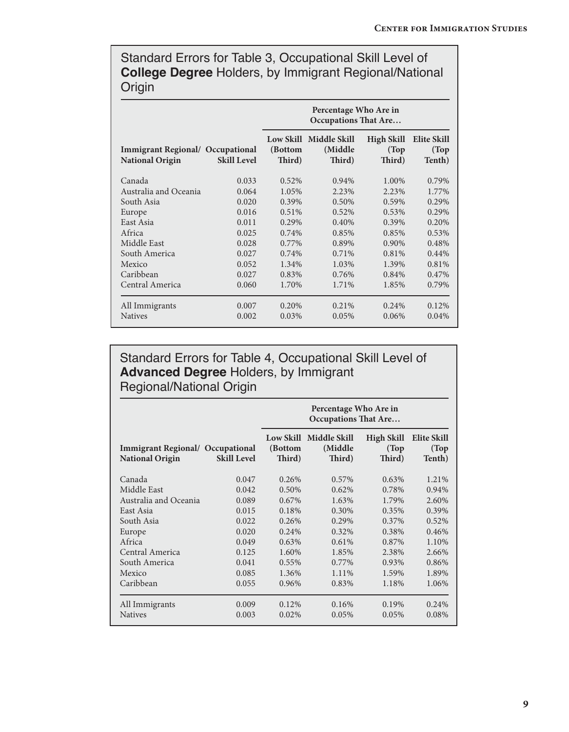Standard Errors for Table 3, Occupational Skill Level of **College Degree** Holders, by Immigrant Regional/National **Origin** 

|                                                                   |                    | Percentage Who Are in<br><b>Occupations That Are</b> |                                             |                                      |                                |  |
|-------------------------------------------------------------------|--------------------|------------------------------------------------------|---------------------------------------------|--------------------------------------|--------------------------------|--|
| <b>Immigrant Regional/ Occupational</b><br><b>National Origin</b> | <b>Skill Level</b> | (Bottom<br>Third)                                    | Low Skill Middle Skill<br>(Middle<br>Third) | <b>High Skill</b><br>(Top)<br>Third) | Elite Skill<br>(Top)<br>Tenth) |  |
| Canada                                                            | 0.033              | 0.52%                                                | 0.94%                                       | 1.00%                                | 0.79%                          |  |
| Australia and Oceania                                             | 0.064              | 1.05%                                                | 2.23%                                       | 2.23%                                | 1.77%                          |  |
| South Asia                                                        | 0.020              | 0.39%                                                | 0.50%                                       | 0.59%                                | 0.29%                          |  |
| Europe                                                            | 0.016              | 0.51%                                                | 0.52%                                       | 0.53%                                | 0.29%                          |  |
| East Asia                                                         | 0.011              | 0.29%                                                | 0.40%                                       | 0.39%                                | 0.20%                          |  |
| Africa                                                            | 0.025              | 0.74%                                                | 0.85%                                       | 0.85%                                | 0.53%                          |  |
| Middle East                                                       | 0.028              | 0.77%                                                | 0.89%                                       | $0.90\%$                             | 0.48%                          |  |
| South America                                                     | 0.027              | 0.74%                                                | $0.71\%$                                    | 0.81%                                | 0.44%                          |  |
| Mexico                                                            | 0.052              | 1.34%                                                | 1.03%                                       | 1.39%                                | 0.81%                          |  |
| Caribbean                                                         | 0.027              | 0.83%                                                | 0.76%                                       | 0.84%                                | 0.47%                          |  |
| Central America                                                   | 0.060              | 1.70%                                                | 1.71%                                       | 1.85%                                | 0.79%                          |  |
| All Immigrants                                                    | 0.007              | 0.20%                                                | 0.21%                                       | 0.24%                                | 0.12%                          |  |
| <b>Natives</b>                                                    | 0.002              | 0.03%                                                | 0.05%                                       | $0.06\%$                             | 0.04%                          |  |

Standard Errors for Table 4, Occupational Skill Level of **Advanced Degree** Holders, by Immigrant Regional/National Origin

|                                                                   |                    | Percentage Who Are in<br><b>Occupations That Are</b> |                                              |                               |                                       |  |
|-------------------------------------------------------------------|--------------------|------------------------------------------------------|----------------------------------------------|-------------------------------|---------------------------------------|--|
| <b>Immigrant Regional/ Occupational</b><br><b>National Origin</b> | <b>Skill Level</b> | (Bottom<br>Third)                                    | Low Skill Middle Skill<br>(Middle)<br>Third) | High Skill<br>(Top)<br>Third) | <b>Elite Skill</b><br>(Top)<br>Tenth) |  |
| Canada                                                            | 0.047              | 0.26%                                                | 0.57%                                        | 0.63%                         | 1.21%                                 |  |
| Middle East                                                       | 0.042              | 0.50%                                                | 0.62%                                        | 0.78%                         | 0.94%                                 |  |
| Australia and Oceania                                             | 0.089              | $0.67\%$                                             | 1.63%                                        | 1.79%                         | 2.60%                                 |  |
| East Asia                                                         | 0.015              | 0.18%                                                | 0.30%                                        | 0.35%                         | 0.39%                                 |  |
| South Asia                                                        | 0.022              | 0.26%                                                | 0.29%                                        | 0.37%                         | 0.52%                                 |  |
| Europe                                                            | 0.020              | 0.24%                                                | 0.32%                                        | 0.38%                         | 0.46%                                 |  |
| Africa                                                            | 0.049              | 0.63%                                                | 0.61%                                        | 0.87%                         | 1.10%                                 |  |
| Central America                                                   | 0.125              | 1.60%                                                | 1.85%                                        | 2.38%                         | 2.66%                                 |  |
| South America                                                     | 0.041              | $0.55\%$                                             | $0.77\%$                                     | 0.93%                         | 0.86%                                 |  |
| Mexico                                                            | 0.085              | 1.36%                                                | 1.11%                                        | 1.59%                         | 1.89%                                 |  |
| Caribbean                                                         | 0.055              | 0.96%                                                | 0.83%                                        | 1.18%                         | 1.06%                                 |  |
| All Immigrants                                                    | 0.009              | 0.12%                                                | 0.16%                                        | 0.19%                         | 0.24%                                 |  |
| <b>Natives</b>                                                    | 0.003              | 0.02%                                                | 0.05%                                        | 0.05%                         | 0.08%                                 |  |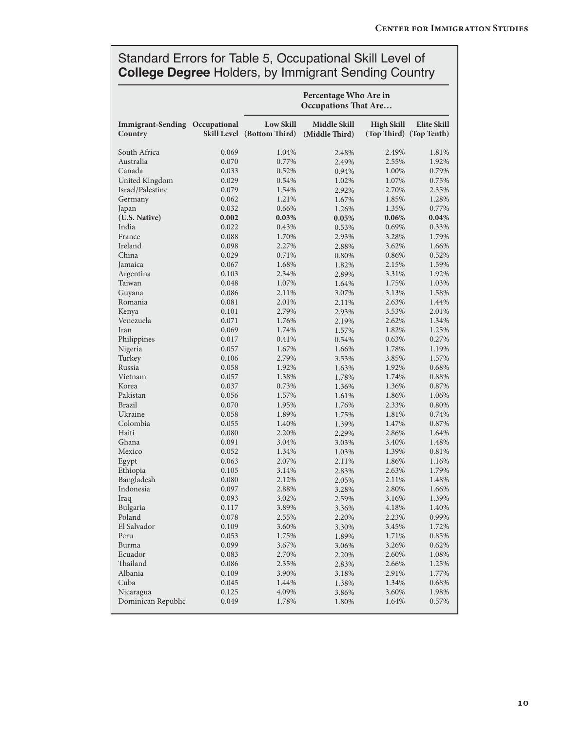#### Standard Errors for Table 5, Occupational Skill Level of **College Degree** Holders, by Immigrant Sending Country

|                                     |              |                                                | Percentage Who Are in<br><b>Occupations That Are</b> |                   |                                        |
|-------------------------------------|--------------|------------------------------------------------|------------------------------------------------------|-------------------|----------------------------------------|
| <b>Immigrant-Sending</b><br>Country | Occupational | <b>Low Skill</b><br>Skill Level (Bottom Third) | Middle Skill<br>(Middle Third)                       | <b>High Skill</b> | Elite Skill<br>(Top Third) (Top Tenth) |
| South Africa                        | 0.069        | 1.04%                                          | 2.48%                                                | 2.49%             | 1.81%                                  |
| Australia                           | 0.070        | 0.77%                                          | 2.49%                                                | 2.55%             | 1.92%                                  |
| Canada                              | 0.033        | 0.52%                                          | 0.94%                                                | 1.00%             | 0.79%                                  |
| United Kingdom                      | 0.029        | 0.54%                                          | 1.02%                                                | 1.07%             | 0.75%                                  |
| Israel/Palestine                    | 0.079        | 1.54%                                          | 2.92%                                                | 2.70%             | 2.35%                                  |
| Germany                             | 0.062        | 1.21%                                          | 1.67%                                                | 1.85%             | 1.28%                                  |
| Japan                               | 0.032        | 0.66%                                          | 1.26%                                                | 1.35%             | 0.77%                                  |
| (U.S. Native)                       | 0.002        | 0.03%                                          | 0.05%                                                | 0.06%             | 0.04%                                  |
| India                               | 0.022        | 0.43%                                          | 0.53%                                                | 0.69%             | 0.33%                                  |
| France                              | 0.088        | 1.70%                                          | 2.93%                                                | 3.28%             | 1.79%                                  |
| Ireland                             | 0.098        | 2.27%                                          | 2.88%                                                | 3.62%             | 1.66%                                  |
| China                               | 0.029        | 0.71%                                          | 0.80%                                                | 0.86%             | 0.52%                                  |
| Jamaica                             | 0.067        | 1.68%                                          | 1.82%                                                | 2.15%             | 1.59%                                  |
| Argentina                           | 0.103        | 2.34%                                          | 2.89%                                                | 3.31%             | 1.92%                                  |
| Taiwan                              | 0.048        | 1.07%                                          | 1.64%                                                | 1.75%             | 1.03%                                  |
| Guyana                              | 0.086        | 2.11%                                          | 3.07%                                                | 3.13%             | 1.58%                                  |
| Romania                             | 0.081        | 2.01%                                          | 2.11%                                                | 2.63%             | 1.44%                                  |
| Kenya                               | 0.101        | 2.79%                                          | 2.93%                                                | 3.53%             | 2.01%                                  |
| Venezuela                           | 0.071        | 1.76%                                          | 2.19%                                                | 2.62%             | 1.34%                                  |
| Iran                                | 0.069        | 1.74%                                          | 1.57%                                                | 1.82%             | 1.25%                                  |
| Philippines                         | 0.017        | 0.41%                                          | 0.54%                                                | 0.63%             | 0.27%                                  |
| Nigeria                             | 0.057        | 1.67%                                          | 1.66%                                                | 1.78%             | 1.19%                                  |
| Turkey                              | 0.106        | 2.79%                                          | 3.53%                                                | 3.85%             | 1.57%                                  |
| Russia                              | 0.058        | 1.92%                                          | 1.63%                                                | 1.92%             | 0.68%                                  |
| Vietnam                             | 0.057        | 1.38%                                          | 1.78%                                                | 1.74%             | 0.88%                                  |
| Korea                               | 0.037        | 0.73%                                          | 1.36%                                                | 1.36%             | 0.87%                                  |
| Pakistan                            | 0.056        | 1.57%                                          | 1.61%                                                | 1.86%             | 1.06%                                  |
| Brazil                              | 0.070        | 1.95%                                          | 1.76%                                                | 2.33%             | 0.80%                                  |
| Ukraine                             | 0.058        | 1.89%                                          | 1.75%                                                | 1.81%             | 0.74%                                  |
| Colombia                            | 0.055        | 1.40%                                          | 1.39%                                                | 1.47%             | 0.87%                                  |
| Haiti                               | 0.080        | 2.20%                                          | 2.29%                                                | 2.86%             | 1.64%                                  |
| Ghana                               | 0.091        | 3.04%                                          | 3.03%                                                | 3.40%             | 1.48%                                  |
| Mexico                              | 0.052        | 1.34%                                          | 1.03%                                                | 1.39%             | 0.81%                                  |
| Egypt                               | 0.063        | 2.07%                                          | 2.11%                                                | 1.86%             | 1.16%                                  |
| Ethiopia                            | 0.105        | 3.14%                                          | 2.83%                                                | 2.63%             | 1.79%                                  |
| Bangladesh                          | 0.080        | 2.12%                                          | 2.05%                                                | 2.11%             | 1.48%                                  |
| Indonesia                           | 0.097        | 2.88%                                          | 3.28%                                                | 2.80%             | 1.66%                                  |
| Iraq                                | 0.093        | 3.02%                                          | 2.59%                                                | 3.16%             | 1.39%                                  |
| Bulgaria                            | 0.117        | 3.89%                                          | 3.36%                                                | 4.18%             | 1.40%                                  |
| Poland                              | 0.078        | 2.55%                                          | 2.20%                                                | 2.23%             | 0.99%                                  |
| El Salvador                         | 0.109        | 3.60%                                          | 3.30%                                                | 3.45%             | 1.72%                                  |
| Peru                                | 0.053        | 1.75%                                          | 1.89%                                                | 1.71%             | 0.85%                                  |
| Burma                               | 0.099        | 3.67%                                          | 3.06%                                                | 3.26%             | 0.62%                                  |
| Ecuador                             | 0.083        | 2.70%                                          | 2.20%                                                | 2.60%             | 1.08%                                  |
| Thailand                            | 0.086        | 2.35%                                          | 2.83%                                                | 2.66%             | 1.25%                                  |
| Albania                             | 0.109        | 3.90%                                          | 3.18%                                                | 2.91%             | 1.77%                                  |
| Cuba                                | 0.045        | 1.44%                                          | 1.38%                                                | 1.34%             | 0.68%                                  |
| Nicaragua                           | 0.125        | 4.09%                                          | 3.86%                                                | 3.60%             | 1.98%                                  |
| Dominican Republic                  | 0.049        | 1.78%                                          | 1.80%                                                | 1.64%             | 0.57%                                  |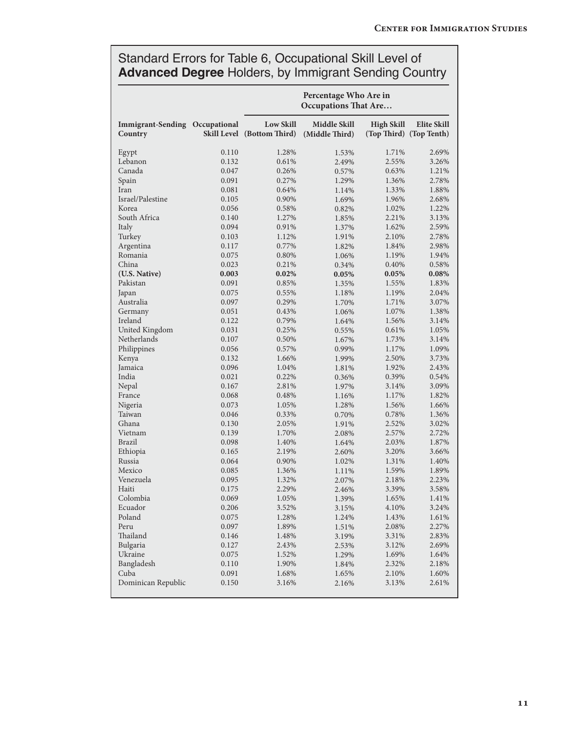#### Standard Errors for Table 6, Occupational Skill Level of **Advanced Degree** Holders, by Immigrant Sending Country

|                                     |              | Percentage Who Are in<br><b>Occupations That Are</b>  |                                       |                   |                                        |  |
|-------------------------------------|--------------|-------------------------------------------------------|---------------------------------------|-------------------|----------------------------------------|--|
| <b>Immigrant-Sending</b><br>Country | Occupational | <b>Low Skill</b><br><b>Skill Level</b> (Bottom Third) | <b>Middle Skill</b><br>(Middle Third) | <b>High Skill</b> | Elite Skill<br>(Top Third) (Top Tenth) |  |
| Egypt                               | 0.110        | 1.28%                                                 | 1.53%                                 | 1.71%             | 2.69%                                  |  |
| Lebanon                             | 0.132        | 0.61%                                                 | 2.49%                                 | 2.55%             | 3.26%                                  |  |
| Canada                              | 0.047        | 0.26%                                                 | 0.57%                                 | 0.63%             | 1.21%                                  |  |
| Spain                               | 0.091        | 0.27%                                                 | 1.29%                                 | 1.36%             | 2.78%                                  |  |
| Iran                                | 0.081        | 0.64%                                                 | 1.14%                                 | 1.33%             | 1.88%                                  |  |
| Israel/Palestine                    | 0.105        | 0.90%                                                 | 1.69%                                 | 1.96%             | 2.68%                                  |  |
| Korea                               | 0.056        | 0.58%                                                 | 0.82%                                 | 1.02%             | 1.22%                                  |  |
| South Africa                        | 0.140        | 1.27%                                                 | 1.85%                                 | 2.21%             | 3.13%                                  |  |
| Italy                               | 0.094        | 0.91%                                                 | 1.37%                                 | 1.62%             | 2.59%                                  |  |
| Turkey                              | 0.103        | 1.12%                                                 | 1.91%                                 | 2.10%             | 2.78%                                  |  |
| Argentina                           | 0.117        | 0.77%                                                 | 1.82%                                 | 1.84%             | 2.98%                                  |  |
| Romania                             | 0.075        | 0.80%                                                 | 1.06%                                 | 1.19%             | 1.94%                                  |  |
| China                               | 0.023        | 0.21%                                                 | 0.34%                                 | 0.40%             | 0.58%                                  |  |
| (U.S. Native)                       | 0.003        | 0.02%                                                 | 0.05%                                 | 0.05%             | 0.08%                                  |  |
| Pakistan                            | 0.091        | 0.85%                                                 | 1.35%                                 | 1.55%             | 1.83%                                  |  |
| Japan                               | 0.075        | 0.55%                                                 | 1.18%                                 | 1.19%             | 2.04%                                  |  |
| Australia                           | 0.097        | 0.29%                                                 | 1.70%                                 | 1.71%             | 3.07%                                  |  |
| Germany                             | 0.051        | 0.43%                                                 | 1.06%                                 | 1.07%             | 1.38%                                  |  |
| Ireland                             | 0.122        | 0.79%                                                 | 1.64%                                 | 1.56%             | 3.14%                                  |  |
| United Kingdom                      | 0.031        | 0.25%                                                 | 0.55%                                 | 0.61%             | 1.05%                                  |  |
| Netherlands                         | 0.107        | 0.50%                                                 | 1.67%                                 | 1.73%             | 3.14%                                  |  |
| Philippines                         | 0.056        | 0.57%                                                 | 0.99%                                 | 1.17%             | 1.09%                                  |  |
| Kenya                               | 0.132        | 1.66%                                                 | 1.99%                                 | 2.50%             | 3.73%                                  |  |
| Jamaica                             | 0.096        | 1.04%                                                 | 1.81%                                 | 1.92%             | 2.43%                                  |  |
| India                               | 0.021        | 0.22%                                                 | 0.36%                                 | 0.39%             | 0.54%                                  |  |
| Nepal                               | 0.167        | 2.81%                                                 | 1.97%                                 | 3.14%             | 3.09%                                  |  |
| France                              | 0.068        | 0.48%                                                 | 1.16%                                 | 1.17%             | 1.82%                                  |  |
| Nigeria                             | 0.073        | 1.05%                                                 | 1.28%                                 | 1.56%             | 1.66%                                  |  |
| Taiwan                              | 0.046        | 0.33%                                                 | 0.70%                                 | 0.78%             | 1.36%                                  |  |
| Ghana                               | 0.130        | 2.05%                                                 | 1.91%                                 | 2.52%             | 3.02%                                  |  |
| Vietnam                             | 0.139        | 1.70%                                                 | 2.08%                                 | 2.57%             | 2.72%                                  |  |
| <b>Brazil</b>                       | 0.098        | 1.40%                                                 | 1.64%                                 | 2.03%             | 1.87%                                  |  |
| Ethiopia                            | 0.165        | 2.19%                                                 | 2.60%                                 | 3.20%             | 3.66%                                  |  |
| Russia                              | 0.064        | 0.90%                                                 | 1.02%                                 | 1.31%             | 1.40%                                  |  |
| Mexico                              | 0.085        | 1.36%                                                 | 1.11%                                 | 1.59%             | 1.89%                                  |  |
| Venezuela                           | 0.095        | 1.32%                                                 | 2.07%                                 | 2.18%             | 2.23%                                  |  |
| Haiti                               | 0.175        | 2.29%                                                 | 2.46%                                 | 3.39%             | 3.58%                                  |  |
| Colombia                            | 0.069        | 1.05%                                                 | 1.39%                                 | 1.65%             | 1.41%                                  |  |
| Ecuador                             | 0.206        | 3.52%                                                 | 3.15%                                 | 4.10%             | 3.24%                                  |  |
| Poland                              | 0.075        | 1.28%                                                 | 1.24%                                 | 1.43%             | 1.61%                                  |  |
| Peru                                | 0.097        | 1.89%                                                 | 1.51%                                 | 2.08%             | 2.27%                                  |  |
| Thailand                            | 0.146        | 1.48%                                                 | 3.19%                                 | 3.31%             | 2.83%                                  |  |
| Bulgaria                            | 0.127        | 2.43%                                                 | 2.53%                                 | 3.12%             | 2.69%                                  |  |
| Ukraine                             | 0.075        | 1.52%                                                 | 1.29%                                 | 1.69%             | 1.64%                                  |  |
| Bangladesh                          | 0.110        | 1.90%                                                 | 1.84%                                 | 2.32%             | 2.18%                                  |  |
| Cuba                                | 0.091        | 1.68%                                                 | 1.65%                                 | 2.10%             | 1.60%                                  |  |
| Dominican Republic                  | 0.150        | 3.16%                                                 | 2.16%                                 | 3.13%             | 2.61%                                  |  |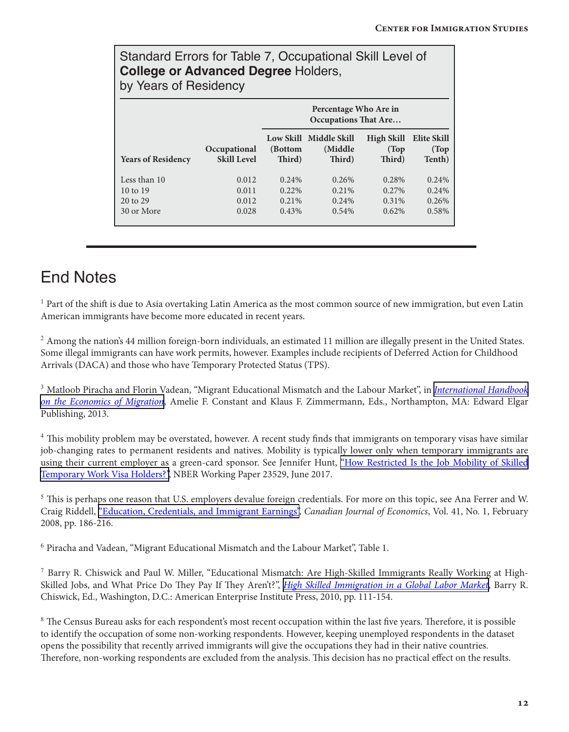#### Standard Errors for Table 7, Occupational Skill Level of **College or Advanced Degree** Holders, by Years of Residency

|                                                               |                                    | Percentage Who Are in<br><b>Occupations That Are</b> |                                              |                                           |                                  |
|---------------------------------------------------------------|------------------------------------|------------------------------------------------------|----------------------------------------------|-------------------------------------------|----------------------------------|
| <b>Years of Residency</b>                                     | Occupational<br><b>Skill Level</b> | (Bottom<br>Third)                                    | Low Skill Middle Skill<br>(Middle)<br>Third) | High Skill<br>(Top<br>Third)              | Elite Skill<br>(Top<br>Tenth)    |
| Less than 10<br>$10 \text{ to } 19$<br>20 to 29<br>30 or More | 0.012<br>0.011<br>0.012<br>0.028   | 0.24%<br>$0.22\%$<br>0.21%<br>0.43%                  | 0.26%<br>$0.21\%$<br>0.24%<br>$0.54\%$       | 0.28%<br>$0.27\%$<br>$0.31\%$<br>$0.62\%$ | 0.24%<br>0.24%<br>0.26%<br>0.58% |

### End Notes

<sup>1</sup> Part of the shift is due to Asia overtaking Latin America as the most common source of new immigration, but even Latin American immigrants have become more educated in recent years.

<sup>2</sup> Among the nation's 44 million foreign-born individuals, an estimated 11 million are illegally present in the United States. Some illegal immigrants can have work permits, however. Examples include recipients of Deferred Action for Childhood Arrivals (DACA) and those who have Temporary Protected Status (TPS).

<sup>3</sup> Matloob Piracha and Florin Vadean, "Migrant Educational Mismatch and the Labour Market", in *[International Handbook](https://www.e-elgar.com/shop/international-handbook-on-the-economics-of-migration?___website=uk_warehouse) [on the Economics of Migration](https://www.e-elgar.com/shop/international-handbook-on-the-economics-of-migration?___website=uk_warehouse)*, Amelie F. Constant and Klaus F. Zimmermann, Eds., Northampton, MA: Edward Elgar Publishing, 2013.

<sup>4</sup> This mobility problem may be overstated, however. A recent study finds that immigrants on temporary visas have similar job-changing rates to permanent residents and natives. Mobility is typically lower only when temporary immigrants are using their current employer as a green-card sponsor. See Jennifer Hunt, ["How Restricted Is the Job Mobility of Skilled](http://www.nber.org/papers/w23529) [Temporary Work Visa Holders?",](http://www.nber.org/papers/w23529) NBER Working Paper 23529, June 2017.

<sup>5</sup> This is perhaps one reason that U.S. employers devalue foreign credentials. For more on this topic, see Ana Ferrer and W. Craig Riddell, ["Education, Credentials, and Immigrant Earnings"](https://www.jstor.org/stable/25478272?seq=1#page_scan_tab_contents), *Canadian Journal of Economics*, Vol. 41, No. 1, February 2008, pp. 186-216.

<sup>6</sup> Piracha and Vadean, "Migrant Educational Mismatch and the Labour Market", Table 1.

<sup>7</sup> Barry R. Chiswick and Paul W. Miller, "Educational Mismatch: Are High-Skilled Immigrants Really Working at High-Skilled Jobs, and What Price Do They Pay If They Aren't?", *[High Skilled Immigration in a Global Labor Market](https://www.amazon.com/High-Skilled-Immigration-Global-Labor-Market/dp/0844743852)*, Barry R. Chiswick, Ed., Washington, D.C.: American Enterprise Institute Press, 2010, pp. 111-154.

<sup>8</sup> The Census Bureau asks for each respondent's most recent occupation within the last five years. Therefore, it is possible to identify the occupation of some non-working respondents. However, keeping unemployed respondents in the dataset opens the possibility that recently arrived immigrants will give the occupations they had in their native countries. Therefore, non-working respondents are excluded from the analysis. This decision has no practical effect on the results.